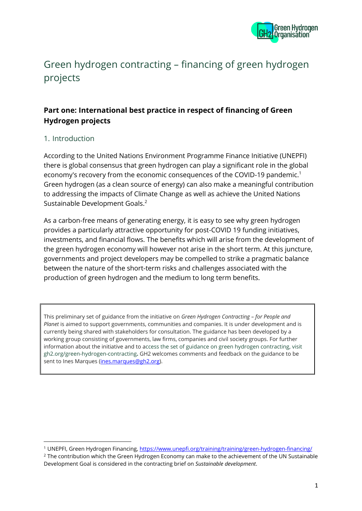

# Green hydrogen contracting – financing of green hydrogen projects

# **Part one: International best practice in respect of financing of Green Hydrogen projects**

# 1. Introduction

According to the United Nations Environment Programme Finance Initiative (UNEPFI) there is global consensus that green hydrogen can play a significant role in the global economy's recovery from the economic consequences of the COVID-19 pandemic.<sup>1</sup> Green hydrogen (as a clean source of energy) can also make a meaningful contribution to addressing the impacts of Climate Change as well as achieve the United Nations Sustainable Development Goals. 2

As a carbon-free means of generating energy, it is easy to see why green hydrogen provides a particularly attractive opportunity for post-COVID 19 funding initiatives, investments, and financial flows. The benefits which will arise from the development of the green hydrogen economy will however not arise in the short term. At this juncture, governments and project developers may be compelled to strike a pragmatic balance between the nature of the short-term risks and challenges associated with the production of green hydrogen and the medium to long term benefits.

This preliminary set of guidance from the initiative on *Green Hydrogen Contracting – for People and Planet* is aimed to support governments, communities and companies. It is under development and is currently being shared with stakeholders for consultation. The guidance has been developed by a working group consisting of governments, law firms, companies and civil society groups. For further information about the initiative and to access the set of guidance on green hydrogen contracting, visit gh2.org/green-hydrogen-contracting**.** GH2 welcomes comments and feedback on the guidance to be sent to Ines Marques [\(ines.marques@gh2.org\)](mailto:ines.marques@gh2.org).

<sup>&</sup>lt;sup>1</sup> UNEPFI, Green Hydrogen Financing[, https://www.unepfi.org/training/training/green-hydrogen-financing/](https://www.unepfi.org/training/training/green-hydrogen-financing/)

<sup>&</sup>lt;sup>2</sup> The contribution which the Green Hydrogen Economy can make to the achievement of the UN Sustainable Development Goal is considered in the contracting brief on *Sustainable development*.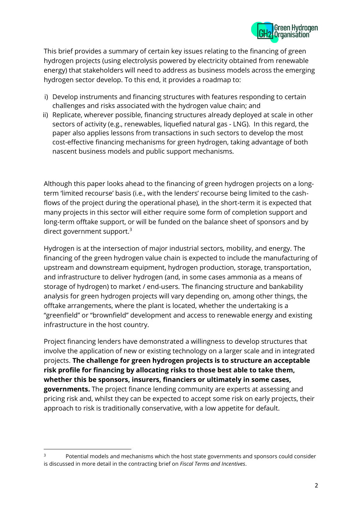

This brief provides a summary of certain key issues relating to the financing of green hydrogen projects (using electrolysis powered by electricity obtained from renewable energy) that stakeholders will need to address as business models across the emerging hydrogen sector develop. To this end, it provides a roadmap to:

- i) Develop instruments and financing structures with features responding to certain challenges and risks associated with the hydrogen value chain; and
- ii) Replicate, wherever possible, financing structures already deployed at scale in other sectors of activity (e.g., renewables, liquefied natural gas - LNG). In this regard, the paper also applies lessons from transactions in such sectors to develop the most cost-effective financing mechanisms for green hydrogen, taking advantage of both nascent business models and public support mechanisms.

Although this paper looks ahead to the financing of green hydrogen projects on a longterm 'limited recourse' basis (i.e., with the lenders' recourse being limited to the cashflows of the project during the operational phase), in the short-term it is expected that many projects in this sector will either require some form of completion support and long-term offtake support, or will be funded on the balance sheet of sponsors and by direct government support.<sup>3</sup>

Hydrogen is at the intersection of major industrial sectors, mobility, and energy. The financing of the green hydrogen value chain is expected to include the manufacturing of upstream and downstream equipment, hydrogen production, storage, transportation, and infrastructure to deliver hydrogen (and, in some cases ammonia as a means of storage of hydrogen) to market / end-users. The financing structure and bankability analysis for green hydrogen projects will vary depending on, among other things, the offtake arrangements, where the plant is located, whether the undertaking is a "greenfield" or "brownfield" development and access to renewable energy and existing infrastructure in the host country.

Project financing lenders have demonstrated a willingness to develop structures that involve the application of new or existing technology on a larger scale and in integrated projects. **The challenge for green hydrogen projects is to structure an acceptable risk profile for financing by allocating risks to those best able to take them, whether this be sponsors, insurers, financiers or ultimately in some cases, governments.** The project finance lending community are experts at assessing and pricing risk and, whilst they can be expected to accept some risk on early projects, their approach to risk is traditionally conservative, with a low appetite for default.

<sup>&</sup>lt;sup>3</sup> Potential models and mechanisms which the host state governments and sponsors could consider is discussed in more detail in the contracting brief on *Fiscal Terms and Incentives*.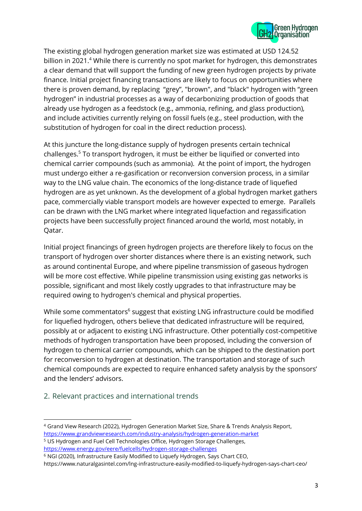

The existing global hydrogen generation market size was estimated at USD 124.52 billion in 2021.<sup>4</sup> While there is currently no spot market for hydrogen, this demonstrates a clear demand that will support the funding of new green hydrogen projects by private finance. Initial project financing transactions are likely to focus on opportunities where there is proven demand, by replacing "grey", "brown", and "black" hydrogen with "green hydrogen" in industrial processes as a way of decarbonizing production of goods that already use hydrogen as a feedstock (e.g., ammonia, refining, and glass production), and include activities currently relying on fossil fuels (e.g., steel production, with the substitution of hydrogen for coal in the direct reduction process).

At this juncture the long-distance supply of hydrogen presents certain technical challenges.<sup>5</sup> To transport hydrogen, it must be either be liquified or converted into chemical carrier compounds (such as ammonia). At the point of import, the hydrogen must undergo either a re-gasification or reconversion conversion process, in a similar way to the LNG value chain. The economics of the long-distance trade of liquefied hydrogen are as yet unknown. As the development of a global hydrogen market gathers pace, commercially viable transport models are however expected to emerge. Parallels can be drawn with the LNG market where integrated liquefaction and regassification projects have been successfully project financed around the world, most notably, in Qatar.

Initial project financings of green hydrogen projects are therefore likely to focus on the transport of hydrogen over shorter distances where there is an existing network, such as around continental Europe, and where pipeline transmission of gaseous hydrogen will be more cost effective. While pipeline transmission using existing gas networks is possible, significant and most likely costly upgrades to that infrastructure may be required owing to hydrogen's chemical and physical properties.

While some commentators<sup>6</sup> suggest that existing LNG infrastructure could be modified for liquefied hydrogen, others believe that dedicated infrastructure will be required, possibly at or adjacent to existing LNG infrastructure. Other potentially cost-competitive methods of hydrogen transportation have been proposed, including the conversion of hydrogen to chemical carrier compounds, which can be shipped to the destination port for reconversion to hydrogen at destination. The transportation and storage of such chemical compounds are expected to require enhanced safety analysis by the sponsors' and the lenders' advisors.

# 2. Relevant practices and international trends

https://www.naturalgasintel.com/lng-infrastructure-easily-modified-to-liquefy-hydrogen-says-chart-ceo/

<sup>4</sup> Grand View Research (2022), Hydrogen Generation Market Size, Share & Trends Analysis Report, <https://www.grandviewresearch.com/industry-analysis/hydrogen-generation-market>

<sup>5</sup> US Hydrogen and Fuel Cell Technologies Office, Hydrogen Storage Challenges, <https://www.energy.gov/eere/fuelcells/hydrogen-storage-challenges>

<sup>6</sup> NGI (2020), Infrastructure Easily Modified to Liquefy Hydrogen, Says Chart CEO,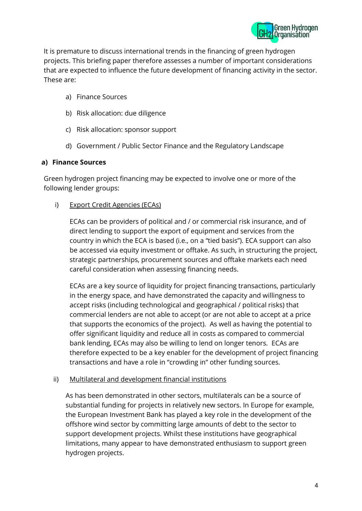

It is premature to discuss international trends in the financing of green hydrogen projects. This briefing paper therefore assesses a number of important considerations that are expected to influence the future development of financing activity in the sector. These are:

- a) Finance Sources
- b) Risk allocation: due diligence
- c) Risk allocation: sponsor support
- d) Government / Public Sector Finance and the Regulatory Landscape

#### **a) Finance Sources**

Green hydrogen project financing may be expected to involve one or more of the following lender groups:

i) Export Credit Agencies (ECAs)

ECAs can be providers of political and / or commercial risk insurance, and of direct lending to support the export of equipment and services from the country in which the ECA is based (i.e., on a "tied basis"). ECA support can also be accessed via equity investment or offtake. As such, in structuring the project, strategic partnerships, procurement sources and offtake markets each need careful consideration when assessing financing needs.

ECAs are a key source of liquidity for project financing transactions, particularly in the energy space, and have demonstrated the capacity and willingness to accept risks (including technological and geographical / political risks) that commercial lenders are not able to accept (or are not able to accept at a price that supports the economics of the project). As well as having the potential to offer significant liquidity and reduce all in costs as compared to commercial bank lending, ECAs may also be willing to lend on longer tenors. ECAs are therefore expected to be a key enabler for the development of project financing transactions and have a role in "crowding in" other funding sources.

#### ii) Multilateral and development financial institutions

As has been demonstrated in other sectors, multilaterals can be a source of substantial funding for projects in relatively new sectors. In Europe for example, the European Investment Bank has played a key role in the development of the offshore wind sector by committing large amounts of debt to the sector to support development projects. Whilst these institutions have geographical limitations, many appear to have demonstrated enthusiasm to support green hydrogen projects.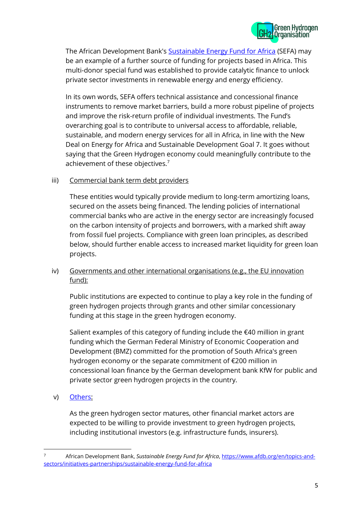

The African Development Bank's [Sustainable Energy Fund for Africa](https://www.afdb.org/en/topics-and-sectors/initiatives-partnerships/sustainable-energy-fund-for-africa) (SEFA) may be an example of a further source of funding for projects based in Africa. This multi-donor special fund was established to provide catalytic finance to unlock private sector investments in renewable energy and energy efficiency.

In its own words, SEFA offers technical assistance and concessional finance instruments to remove market barriers, build a more robust pipeline of projects and improve the risk-return profile of individual investments. The Fund's overarching goal is to contribute to universal access to affordable, reliable, sustainable, and modern energy services for all in Africa, in line with the New Deal on Energy for Africa and Sustainable Development Goal 7. It goes without saying that the Green Hydrogen economy could meaningfully contribute to the achievement of these objectives.<sup>7</sup>

#### iii) Commercial bank term debt providers

These entities would typically provide medium to long-term amortizing loans, secured on the assets being financed. The lending policies of international commercial banks who are active in the energy sector are increasingly focused on the carbon intensity of projects and borrowers, with a marked shift away from fossil fuel projects. Compliance with green loan principles, as described below, should further enable access to increased market liquidity for green loan projects.

#### iv) Governments and other international organisations (e.g., the EU innovation fund):

Public institutions are expected to continue to play a key role in the funding of green hydrogen projects through grants and other similar concessionary funding at this stage in the green hydrogen economy.

Salient examples of this category of funding include the €40 million in grant funding which the German Federal Ministry of Economic Cooperation and Development (BMZ) committed for the promotion of South Africa's green hydrogen economy or the separate commitment of €200 million in concessional loan finance by the German development bank KfW for public and private sector green hydrogen projects in the country.

v) [Others:](https://www.unepfi.org/training/training/green-hydrogen-financing/)

As the green hydrogen sector matures, other financial market actors are expected to be willing to provide investment to green hydrogen projects, including institutional investors (e.g. infrastructure funds, insurers).

<sup>7</sup> African Development Bank, *Sustainable Energy Fund for Africa*, [https://www.afdb.org/en/topics-and](https://www.afdb.org/en/topics-and-sectors/initiatives-partnerships/sustainable-energy-fund-for-africa)[sectors/initiatives-partnerships/sustainable-energy-fund-for-africa](https://www.afdb.org/en/topics-and-sectors/initiatives-partnerships/sustainable-energy-fund-for-africa)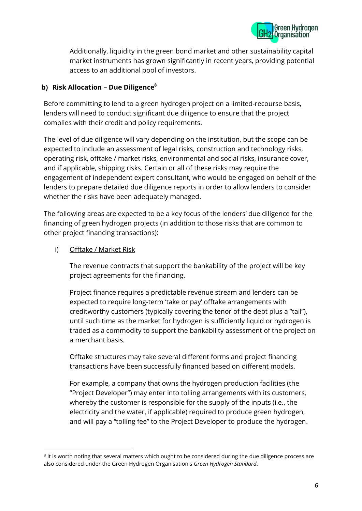

Additionally, liquidity in the green bond market and other sustainability capital market instruments has grown significantly in recent years, providing potential access to an additional pool of investors.

# **b) Risk Allocation – Due Diligence<sup>8</sup>**

Before committing to lend to a green hydrogen project on a limited-recourse basis, lenders will need to conduct significant due diligence to ensure that the project complies with their credit and policy requirements.

The level of due diligence will vary depending on the institution, but the scope can be expected to include an assessment of legal risks, construction and technology risks, operating risk, offtake / market risks, environmental and social risks, insurance cover, and if applicable, shipping risks. Certain or all of these risks may require the engagement of independent expert consultant, who would be engaged on behalf of the lenders to prepare detailed due diligence reports in order to allow lenders to consider whether the risks have been adequately managed.

The following areas are expected to be a key focus of the lenders' due diligence for the financing of green hydrogen projects (in addition to those risks that are common to other project financing transactions):

#### i) Offtake / Market Risk

The revenue contracts that support the bankability of the project will be key project agreements for the financing.

Project finance requires a predictable revenue stream and lenders can be expected to require long-term 'take or pay' offtake arrangements with creditworthy customers (typically covering the tenor of the debt plus a "tail"), until such time as the market for hydrogen is sufficiently liquid or hydrogen is traded as a commodity to support the bankability assessment of the project on a merchant basis.

Offtake structures may take several different forms and project financing transactions have been successfully financed based on different models.

For example, a company that owns the hydrogen production facilities (the "Project Developer") may enter into tolling arrangements with its customers, whereby the customer is responsible for the supply of the inputs (i.e., the electricity and the water, if applicable) required to produce green hydrogen, and will pay a "tolling fee" to the Project Developer to produce the hydrogen.

<sup>&</sup>lt;sup>8</sup> It is worth noting that several matters which ought to be considered during the due diligence process are also considered under the Green Hydrogen Organisation's *Green Hydrogen Standard*.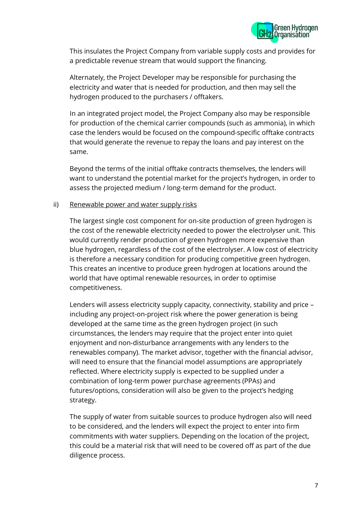

This insulates the Project Company from variable supply costs and provides for a predictable revenue stream that would support the financing.

Alternately, the Project Developer may be responsible for purchasing the electricity and water that is needed for production, and then may sell the hydrogen produced to the purchasers / offtakers.

In an integrated project model, the Project Company also may be responsible for production of the chemical carrier compounds (such as ammonia), in which case the lenders would be focused on the compound-specific offtake contracts that would generate the revenue to repay the loans and pay interest on the same.

Beyond the terms of the initial offtake contracts themselves, the lenders will want to understand the potential market for the project's hydrogen, in order to assess the projected medium / long-term demand for the product.

#### ii) Renewable power and water supply risks

The largest single cost component for on-site production of green hydrogen is the cost of the renewable electricity needed to power the electrolyser unit. This would currently render production of green hydrogen more expensive than blue hydrogen, regardless of the cost of the electrolyser. A low cost of electricity is therefore a necessary condition for producing competitive green hydrogen. This creates an incentive to produce green hydrogen at locations around the world that have optimal renewable resources, in order to optimise competitiveness.

Lenders will assess electricity supply capacity, connectivity, stability and price – including any project-on-project risk where the power generation is being developed at the same time as the green hydrogen project (in such circumstances, the lenders may require that the project enter into quiet enjoyment and non-disturbance arrangements with any lenders to the renewables company). The market advisor, together with the financial advisor, will need to ensure that the financial model assumptions are appropriately reflected. Where electricity supply is expected to be supplied under a combination of long-term power purchase agreements (PPAs) and futures/options, consideration will also be given to the project's hedging strategy.

The supply of water from suitable sources to produce hydrogen also will need to be considered, and the lenders will expect the project to enter into firm commitments with water suppliers. Depending on the location of the project, this could be a material risk that will need to be covered off as part of the due diligence process.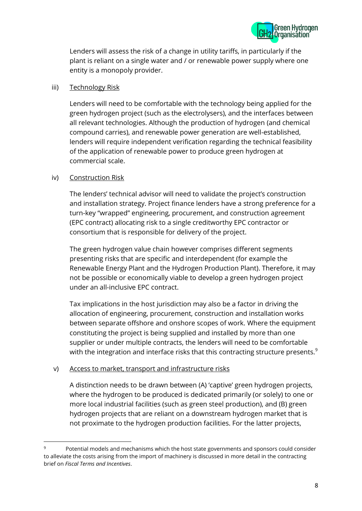

Lenders will assess the risk of a change in utility tariffs, in particularly if the plant is reliant on a single water and / or renewable power supply where one entity is a monopoly provider.

#### iii) Technology Risk

Lenders will need to be comfortable with the technology being applied for the green hydrogen project (such as the electrolysers), and the interfaces between all relevant technologies. Although the production of hydrogen (and chemical compound carries), and renewable power generation are well-established, lenders will require independent verification regarding the technical feasibility of the application of renewable power to produce green hydrogen at commercial scale.

#### iv) Construction Risk

The lenders' technical advisor will need to validate the project's construction and installation strategy. Project finance lenders have a strong preference for a turn-key "wrapped" engineering, procurement, and construction agreement (EPC contract) allocating risk to a single creditworthy EPC contractor or consortium that is responsible for delivery of the project.

The green hydrogen value chain however comprises different segments presenting risks that are specific and interdependent (for example the Renewable Energy Plant and the Hydrogen Production Plant). Therefore, it may not be possible or economically viable to develop a green hydrogen project under an all-inclusive EPC contract.

Tax implications in the host jurisdiction may also be a factor in driving the allocation of engineering, procurement, construction and installation works between separate offshore and onshore scopes of work. Where the equipment constituting the project is being supplied and installed by more than one supplier or under multiple contracts, the lenders will need to be comfortable with the integration and interface risks that this contracting structure presents.<sup>9</sup>

#### v) Access to market, transport and infrastructure risks

A distinction needs to be drawn between (A) 'captive' green hydrogen projects, where the hydrogen to be produced is dedicated primarily (or solely) to one or more local industrial facilities (such as green steel production), and (B) green hydrogen projects that are reliant on a downstream hydrogen market that is not proximate to the hydrogen production facilities. For the latter projects,

<sup>9</sup> Potential models and mechanisms which the host state governments and sponsors could consider to alleviate the costs arising from the import of machinery is discussed in more detail in the contracting brief on *Fiscal Terms and Incentives*.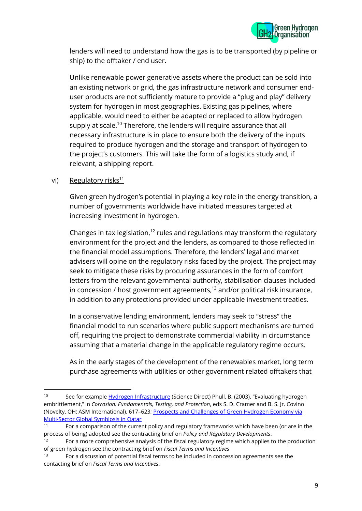

lenders will need to understand how the gas is to be transported (by pipeline or ship) to the offtaker / end user.

Unlike renewable power generative assets where the product can be sold into an existing network or grid, the gas infrastructure network and consumer enduser products are not sufficiently mature to provide a "plug and play" delivery system for hydrogen in most geographies. Existing gas pipelines, where applicable, would need to either be adapted or replaced to allow hydrogen supply at scale.<sup>10</sup> Therefore, the lenders will require assurance that all necessary infrastructure is in place to ensure both the delivery of the inputs required to produce hydrogen and the storage and transport of hydrogen to the project's customers. This will take the form of a logistics study and, if relevant, a shipping report.

vi) Regulatory risks<sup>11</sup>

Given green hydrogen's potential in playing a key role in the energy transition, a number of governments worldwide have initiated measures targeted at increasing investment in hydrogen.

Changes in tax legislation,<sup>12</sup> rules and regulations may transform the regulatory environment for the project and the lenders, as compared to those reflected in the financial model assumptions. Therefore, the lenders' legal and market advisers will opine on the regulatory risks faced by the project. The project may seek to mitigate these risks by procuring assurances in the form of comfort letters from the relevant governmental authority, stabilisation clauses included in concession / host government agreements, <sup>13</sup> and/or political risk insurance, in addition to any protections provided under applicable investment treaties.

In a conservative lending environment, lenders may seek to "stress" the financial model to run scenarios where public support mechanisms are turned off, requiring the project to demonstrate commercial viability in circumstance assuming that a material change in the applicable regulatory regime occurs.

As in the early stages of the development of the renewables market, long term purchase agreements with utilities or other government related offtakers that

<sup>10</sup> See for example [Hydrogen Infrastructure](https://www.sciencedirect.com/topics/engineering/hydrogen-infrastructure) (Science Direct) Phull, B. (2003). "Evaluating hydrogen embrittlement," in *Corrosion: Fundamentals, Testing, and Protection*, eds S. D. Cramer and B. S. Jr. Covino (Novelty, OH: ASM International). 617–623; [Prospects and Challenges of Green Hydrogen Economy via](https://www.frontiersin.org/articles/10.3389/frsus.2020.612762/full)  [Multi-Sector Global Symbiosis in Qatar](https://www.frontiersin.org/articles/10.3389/frsus.2020.612762/full)

<sup>&</sup>lt;sup>11</sup> For a comparison of the current policy and regulatory frameworks which have been (or are in the process of being) adopted see the contracting brief on *Policy and Regulatory Developments*.

 $12$  For a more comprehensive analysis of the fiscal regulatory regime which applies to the production of green hydrogen see the contracting brief on *Fiscal Terms and Incentives*

<sup>13</sup> For a discussion of potential fiscal terms to be included in concession agreements see the contacting brief on *Fiscal Terms and Incentives*.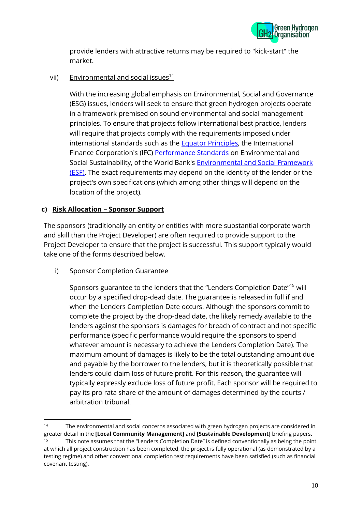

provide lenders with attractive returns may be required to "kick-start" the market.

vii) Environmental and social issues $14$ 

With the increasing global emphasis on Environmental, Social and Governance (ESG) issues, lenders will seek to ensure that green hydrogen projects operate in a framework premised on sound environmental and social management principles. To ensure that projects follow international best practice, lenders will require that projects comply with the requirements imposed under international standards such as the [Equator Principles,](https://equator-principles.com/) the International Finance Corporation's (IFC) [Performance Standards](https://www.ifc.org/wps/wcm/connect/Topics_Ext_Content/IFC_External_Corporate_Site/Sustainability-At-IFC/Policies-Standards/Performance-Standards) on Environmental and Social Sustainability, of the World Bank's [Environmental and Social Framework](https://www.worldbank.org/en/projects-operations/environmental-and-social-framework)  (**ESF**). The exact requirements may depend on the identity of the lender or the project's own specifications (which among other things will depend on the location of the project).

# **c) Risk Allocation – Sponsor Support**

The sponsors (traditionally an entity or entities with more substantial corporate worth and skill than the Project Developer) are often required to provide support to the Project Developer to ensure that the project is successful. This support typically would take one of the forms described below.

i) Sponsor Completion Guarantee

Sponsors guarantee to the lenders that the "Lenders Completion Date"<sup>15</sup> will occur by a specified drop-dead date. The guarantee is released in full if and when the Lenders Completion Date occurs. Although the sponsors commit to complete the project by the drop-dead date, the likely remedy available to the lenders against the sponsors is damages for breach of contract and not specific performance (specific performance would require the sponsors to spend whatever amount is necessary to achieve the Lenders Completion Date). The maximum amount of damages is likely to be the total outstanding amount due and payable by the borrower to the lenders, but it is theoretically possible that lenders could claim loss of future profit. For this reason, the guarantee will typically expressly exclude loss of future profit. Each sponsor will be required to pay its pro rata share of the amount of damages determined by the courts / arbitration tribunal.

<sup>&</sup>lt;sup>14</sup> The environmental and social concerns associated with green hydrogen projects are considered in greater detail in the **[Local Community Management]** and **[Sustainable Development]** briefing papers.

<sup>&</sup>lt;sup>15</sup> This note assumes that the "Lenders Completion Date" is defined conventionally as being the point at which all project construction has been completed, the project is fully operational (as demonstrated by a testing regime) and other conventional completion test requirements have been satisfied (such as financial covenant testing).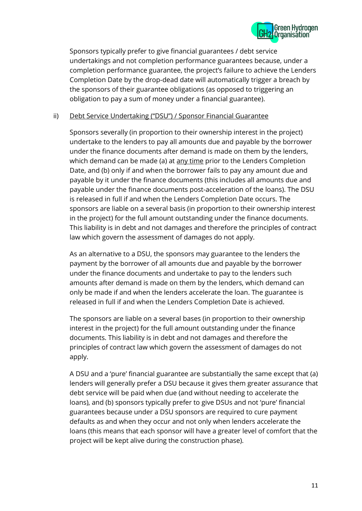

Sponsors typically prefer to give financial guarantees / debt service undertakings and not completion performance guarantees because, under a completion performance guarantee, the project's failure to achieve the Lenders Completion Date by the drop-dead date will automatically trigger a breach by the sponsors of their guarantee obligations (as opposed to triggering an obligation to pay a sum of money under a financial guarantee).

#### ii) Debt Service Undertaking ("DSU") / Sponsor Financial Guarantee

Sponsors severally (in proportion to their ownership interest in the project) undertake to the lenders to pay all amounts due and payable by the borrower under the finance documents after demand is made on them by the lenders, which demand can be made (a) at <u>any time</u> prior to the Lenders Completion Date, and (b) only if and when the borrower fails to pay any amount due and payable by it under the finance documents (this includes all amounts due and payable under the finance documents post-acceleration of the loans). The DSU is released in full if and when the Lenders Completion Date occurs. The sponsors are liable on a several basis (in proportion to their ownership interest in the project) for the full amount outstanding under the finance documents. This liability is in debt and not damages and therefore the principles of contract law which govern the assessment of damages do not apply.

As an alternative to a DSU, the sponsors may guarantee to the lenders the payment by the borrower of all amounts due and payable by the borrower under the finance documents and undertake to pay to the lenders such amounts after demand is made on them by the lenders, which demand can only be made if and when the lenders accelerate the loan. The guarantee is released in full if and when the Lenders Completion Date is achieved.

The sponsors are liable on a several bases (in proportion to their ownership interest in the project) for the full amount outstanding under the finance documents. This liability is in debt and not damages and therefore the principles of contract law which govern the assessment of damages do not apply.

A DSU and a 'pure' financial guarantee are substantially the same except that (a) lenders will generally prefer a DSU because it gives them greater assurance that debt service will be paid when due (and without needing to accelerate the loans), and (b) sponsors typically prefer to give DSUs and not 'pure' financial guarantees because under a DSU sponsors are required to cure payment defaults as and when they occur and not only when lenders accelerate the loans (this means that each sponsor will have a greater level of comfort that the project will be kept alive during the construction phase).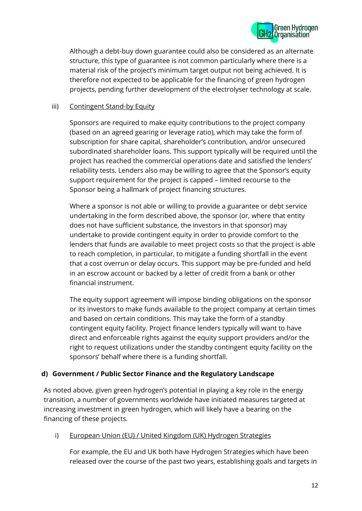

Although a debt-buy down guarantee could also be considered as an alternate structure, this type of guarantee is not common particularly where there is a material risk of the project's minimum target output not being achieved. It is therefore not expected to be applicable for the financing of green hydrogen projects, pending further development of the electrolyser technology at scale.

#### iii) Contingent Stand-by Equity

Sponsors are required to make equity contributions to the project company (based on an agreed gearing or leverage ratio), which may take the form of subscription for share capital, shareholder's contribution, and/or unsecured subordinated shareholder loans. This support typically will be required until the project has reached the commercial operations date and satisfied the lenders' reliability tests. Lenders also may be willing to agree that the Sponsor's equity support requirement for the project is capped – limited recourse to the Sponsor being a hallmark of project financing structures.

Where a sponsor is not able or willing to provide a guarantee or debt service undertaking in the form described above, the sponsor (or, where that entity does not have sufficient substance, the investors in that sponsor) may undertake to provide contingent equity in order to provide comfort to the lenders that funds are available to meet project costs so that the project is able to reach completion, in particular, to mitigate a funding shortfall in the event that a cost overrun or delay occurs. This support may be pre-funded and held in an escrow account or backed by a letter of credit from a bank or other financial instrument.

The equity support agreement will impose binding obligations on the sponsor or its investors to make funds available to the project company at certain times and based on certain conditions. This may take the form of a standby contingent equity facility. Project finance lenders typically will want to have direct and enforceable rights against the equity support providers and/or the right to request utilizations under the standby contingent equity facility on the sponsors' behalf where there is a funding shortfall.

#### **d) Government / Public Sector Finance and the Regulatory Landscape**

As noted above, given green hydrogen's potential in playing a key role in the energy transition, a number of governments worldwide have initiated measures targeted at increasing investment in green hydrogen, which will likely have a bearing on the financing of these projects.

i) European Union (EU) / United Kingdom (UK) Hydrogen Strategies

For example, the EU and UK both have Hydrogen Strategies which have been released over the course of the past two years, establishing goals and targets in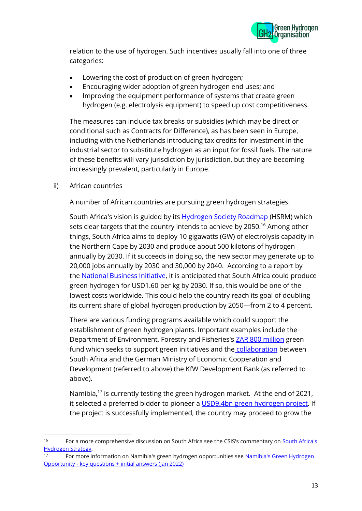

relation to the use of hydrogen. Such incentives usually fall into one of three categories:

- Lowering the cost of production of green hydrogen;
- Encouraging wider adoption of green hydrogen end uses; and
- Improving the equipment performance of systems that create green hydrogen (e.g. electrolysis equipment) to speed up cost competitiveness.

The measures can include tax breaks or subsidies (which may be direct or conditional such as Contracts for Difference), as has been seen in Europe, including with the Netherlands introducing tax credits for investment in the industrial sector to substitute hydrogen as an input for fossil fuels. The nature of these benefits will vary jurisdiction by jurisdiction, but they are becoming increasingly prevalent, particularly in Europe.

# ii) African countries

A number of African countries are pursuing green hydrogen strategies.

South Africa's vision is guided by its **[Hydrogen Society Roadmap](https://www.dst.gov.za/images/South_African_Hydrogen_Society_RoadmapV1.pdf)** (HSRM) which sets clear targets that the country intends to achieve by 2050.<sup>16</sup> Among other things, South Africa aims to deploy 10 gigawatts (GW) of electrolysis capacity in the Northern Cape by 2030 and produce about 500 kilotons of hydrogen annually by 2030. If it succeeds in doing so, the new sector may generate up to 20,000 jobs annually by 2030 and 30,000 by 2040. According to a report by the [National Business Initiative,](https://www.nbi.org.za/wp-content/uploads/2021/08/NBI-Transition-Chapter-Decarbonising-SA-power-11-Aug-2021.pdf) it is anticipated that South Africa could produce green hydrogen for USD1.60 per kg by 2030. If so, this would be one of the lowest costs worldwide. This could help the country reach its goal of doubling its current share of global hydrogen production by 2050—from 2 to 4 percent.

There are various funding programs available which could support the establishment of green hydrogen plants. Important examples include the Department of Environment, Forestry and Fisheries's **ZAR 800 million** green fund which seeks to support green initiatives and the [collaboration](https://www.gov.za/speeches/minister-mondli-gungubele-green-hydrogen-stakeholder-engagement-17-jan-2022-0000) between South Africa and the German Ministry of Economic Cooperation and Development (referred to above) the KfW Development Bank (as referred to above).

Namibia,<sup>17</sup> is currently testing the green hydrogen market. At the end of 2021, it selected a preferred bidder to pioneer a [USD9.4bn green hydrogen project.](https://www.engineeringnews.co.za/article/namibia-selects-preferred-bidder-for-pioneering-94bn-green-hydrogen-project-2021-11-05) If the project is successfully implemented, the country may proceed to grow the

<sup>&</sup>lt;sup>16</sup> For a more comprehensive discussion on South Africa see the CSIS's commentary on **South Africa's** [Hydrogen Strategy.](https://www.csis.org/analysis/south-africas-hydrogen-strategy)

<sup>17</sup> For more information on Namibia's green hydrogen opportunities see [Namibia's Green Hydrogen](https://gh2namibia.com/wp-content/uploads/2022/02/Namibias-Green-Hydrogen-Opportunity-key-questions-initial-answers-Jan-2022-_-SYSTEMIQ.pdf)  Opportunity - [key questions + initial answers \(Jan 2022\)](https://gh2namibia.com/wp-content/uploads/2022/02/Namibias-Green-Hydrogen-Opportunity-key-questions-initial-answers-Jan-2022-_-SYSTEMIQ.pdf)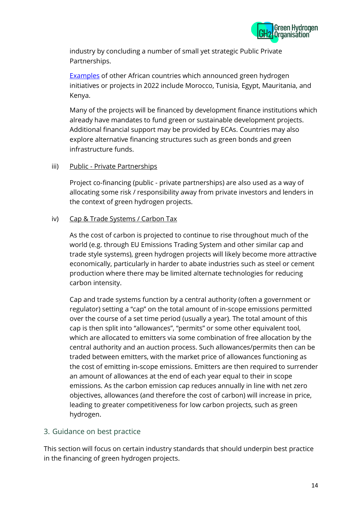

industry by concluding a number of small yet strategic Public Private Partnerships.

[Examples](https://www.esi-africa.com/industry-sectors/future-energy/analysis-green-hydrogen-the-new-energy-frontier-in-africa/) of other African countries which announced green hydrogen initiatives or projects in 2022 include Morocco, Tunisia, Egypt, Mauritania, and Kenya.

Many of the projects will be financed by development finance institutions which already have mandates to fund green or sustainable development projects. Additional financial support may be provided by ECAs. Countries may also explore alternative financing structures such as green bonds and green infrastructure funds.

#### iii) Public - Private Partnerships

Project co-financing (public - private partnerships) are also used as a way of allocating some risk / responsibility away from private investors and lenders in the context of green hydrogen projects.

#### iv) Cap & Trade Systems / Carbon Tax

As the cost of carbon is projected to continue to rise throughout much of the world (e.g. through EU Emissions Trading System and other similar cap and trade style systems), green hydrogen projects will likely become more attractive economically, particularly in harder to abate industries such as steel or cement production where there may be limited alternate technologies for reducing carbon intensity.

Cap and trade systems function by a central authority (often a government or regulator) setting a "cap" on the total amount of in-scope emissions permitted over the course of a set time period (usually a year). The total amount of this cap is then split into "allowances", "permits" or some other equivalent tool, which are allocated to emitters via some combination of free allocation by the central authority and an auction process. Such allowances/permits then can be traded between emitters, with the market price of allowances functioning as the cost of emitting in-scope emissions. Emitters are then required to surrender an amount of allowances at the end of each year equal to their in scope emissions. As the carbon emission cap reduces annually in line with net zero objectives, allowances (and therefore the cost of carbon) will increase in price, leading to greater competitiveness for low carbon projects, such as green hydrogen.

# 3. Guidance on best practice

This section will focus on certain industry standards that should underpin best practice in the financing of green hydrogen projects.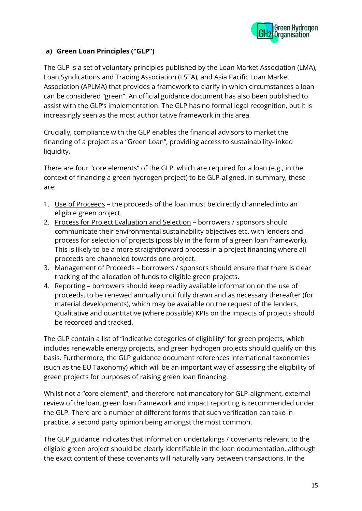

# **a) Green Loan Principles ("GLP")**

The GLP is a set of voluntary principles published by the Loan Market Association (LMA), Loan Syndications and Trading Association (LSTA), and Asia Pacific Loan Market Association (APLMA) that provides a framework to clarify in which circumstances a loan can be considered "green". An official guidance document has also been published to assist with the GLP's implementation. The GLP has no formal legal recognition, but it is increasingly seen as the most authoritative framework in this area.

Crucially, compliance with the GLP enables the financial advisors to market the financing of a project as a "Green Loan", providing access to sustainability-linked liquidity.

There are four "core elements" of the GLP, which are required for a loan (e.g., in the context of financing a green hydrogen project) to be GLP-aligned. In summary, these are:

- 1. Use of Proceeds the proceeds of the loan must be directly channeled into an eligible green project.
- 2. Process for Project Evaluation and Selection borrowers / sponsors should communicate their environmental sustainability objectives etc. with lenders and process for selection of projects (possibly in the form of a green loan framework). This is likely to be a more straightforward process in a project financing where all proceeds are channeled towards one project.
- 3. Management of Proceeds borrowers / sponsors should ensure that there is clear tracking of the allocation of funds to eligible green projects.
- 4. Reporting borrowers should keep readily available information on the use of proceeds, to be renewed annually until fully drawn and as necessary thereafter (for material developments), which may be available on the request of the lenders. Qualitative and quantitative (where possible) KPIs on the impacts of projects should be recorded and tracked.

The GLP contain a list of "indicative categories of eligibility" for green projects, which includes renewable energy projects, and green hydrogen projects should qualify on this basis. Furthermore, the GLP guidance document references international taxonomies (such as the EU Taxonomy) which will be an important way of assessing the eligibility of green projects for purposes of raising green loan financing.

Whilst not a "core element", and therefore not mandatory for GLP-alignment, external review of the loan, green loan framework and impact reporting is recommended under the GLP. There are a number of different forms that such verification can take in practice, a second party opinion being amongst the most common.

The GLP guidance indicates that information undertakings / covenants relevant to the eligible green project should be clearly identifiable in the loan documentation, although the exact content of these covenants will naturally vary between transactions. In the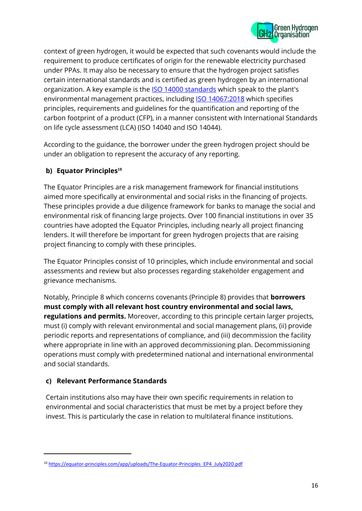

context of green hydrogen, it would be expected that such covenants would include the requirement to produce certificates of origin for the renewable electricity purchased under PPAs. It may also be necessary to ensure that the hydrogen project satisfies certain international standards and is certified as green hydrogen by an international organization. A key example is the **ISO 14000 standards** which speak to the plant's environmental management practices, including [ISO 14067:2018](https://www.iso.org/standard/71206.html) which specifies principles, requirements and guidelines for the quantification and reporting of the carbon footprint of a product (CFP), in a manner consistent with International Standards on life cycle assessment (LCA) (ISO 14040 and ISO 14044).

According to the guidance, the borrower under the green hydrogen project should be under an obligation to represent the accuracy of any reporting.

# **b) [Equator Principles](https://equator-principles.com/app/uploads/The-Equator-Principles_EP4_July2020.pdf) 18**

The Equator Principles are a risk management framework for financial institutions aimed more specifically at environmental and social risks in the financing of projects. These principles provide a due diligence framework for banks to manage the social and environmental risk of financing large projects. Over 100 financial institutions in over 35 countries have adopted the Equator Principles, including nearly all project financing lenders. It will therefore be important for green hydrogen projects that are raising project financing to comply with these principles.

The Equator Principles consist of 10 principles, which include environmental and social assessments and review but also processes regarding stakeholder engagement and grievance mechanisms.

Notably, Principle 8 which concerns covenants (Principle 8) provides that **borrowers must comply with all relevant host country environmental and social laws, regulations and permits.** Moreover, according to this principle certain larger projects, must (i) comply with relevant environmental and social management plans, (ii) provide periodic reports and representations of compliance, and (iii) decommission the facility where appropriate in line with an approved decommissioning plan. Decommissioning operations must comply with predetermined national and international environmental and social standards.

# **c) Relevant Performance Standards**

Certain institutions also may have their own specific requirements in relation to environmental and social characteristics that must be met by a project before they invest. This is particularly the case in relation to multilateral finance institutions.

<sup>&</sup>lt;sup>18</sup> [https://equator-principles.com/app/uploads/The-Equator-Principles\\_EP4\\_July2020.pdf](https://equator-principles.com/app/uploads/The-Equator-Principles_EP4_July2020.pdf)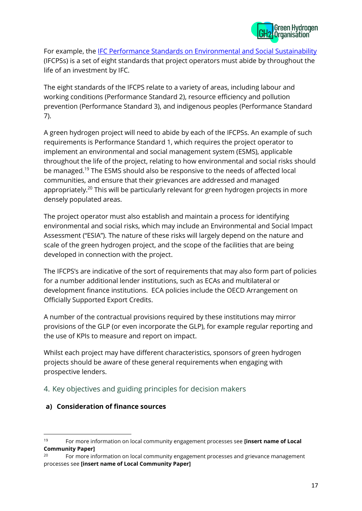

For example, the [IFC Performance Standards on Environmental and Social Sustainability](https://www.ifc.org/wps/wcm/connect/c02c2e86-e6cd-4b55-95a2-b3395d204279/IFC_Performance_Standards.pdf?MOD=AJPERES&CVID=kTjHBzk) (IFCPSs) is a set of eight standards that project operators must abide by throughout the life of an investment by IFC.

The eight standards of the IFCPS relate to a variety of areas, including labour and working conditions (Performance Standard 2), resource efficiency and pollution prevention (Performance Standard 3), and indigenous peoples (Performance Standard 7).

A green hydrogen project will need to abide by each of the IFCPSs. An example of such requirements is Performance Standard 1, which requires the project operator to implement an environmental and social management system (ESMS), applicable throughout the life of the project, relating to how environmental and social risks should be managed.<sup>19</sup> The ESMS should also be responsive to the needs of affected local communities, and ensure that their grievances are addressed and managed appropriately.<sup>20</sup> This will be particularly relevant for green hydrogen projects in more densely populated areas.

The project operator must also establish and maintain a process for identifying environmental and social risks, which may include an Environmental and Social Impact Assessment ("ESIA"). The nature of these risks will largely depend on the nature and scale of the green hydrogen project, and the scope of the facilities that are being developed in connection with the project.

The IFCPS's are indicative of the sort of requirements that may also form part of policies for a number additional lender institutions, such as ECAs and multilateral or development finance institutions. ECA policies include the OECD Arrangement on Officially Supported Export Credits.

A number of the contractual provisions required by these institutions may mirror provisions of the GLP (or even incorporate the GLP), for example regular reporting and the use of KPIs to measure and report on impact.

Whilst each project may have different characteristics, sponsors of green hydrogen projects should be aware of these general requirements when engaging with prospective lenders.

# 4. Key objectives and guiding principles for decision makers

#### **a) Consideration of finance sources**

<sup>19</sup> For more information on local community engagement processes see **[insert name of Local Community Paper]**

<sup>&</sup>lt;sup>20</sup> For more information on local community engagement processes and grievance management processes see **[insert name of Local Community Paper]**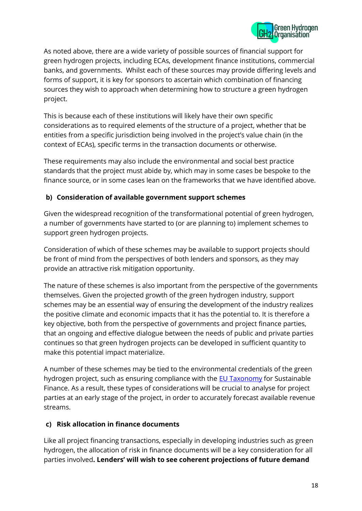

As noted above, there are a wide variety of possible sources of financial support for green hydrogen projects, including ECAs, development finance institutions, commercial banks, and governments. Whilst each of these sources may provide differing levels and forms of support, it is key for sponsors to ascertain which combination of financing sources they wish to approach when determining how to structure a green hydrogen project.

This is because each of these institutions will likely have their own specific considerations as to required elements of the structure of a project, whether that be entities from a specific jurisdiction being involved in the project's value chain (in the context of ECAs), specific terms in the transaction documents or otherwise.

These requirements may also include the environmental and social best practice standards that the project must abide by, which may in some cases be bespoke to the finance source, or in some cases lean on the frameworks that we have identified above.

# **b) Consideration of available government support schemes**

Given the widespread recognition of the transformational potential of green hydrogen, a number of governments have started to (or are planning to) implement schemes to support green hydrogen projects.

Consideration of which of these schemes may be available to support projects should be front of mind from the perspectives of both lenders and sponsors, as they may provide an attractive risk mitigation opportunity.

The nature of these schemes is also important from the perspective of the governments themselves. Given the projected growth of the green hydrogen industry, support schemes may be an essential way of ensuring the development of the industry realizes the positive climate and economic impacts that it has the potential to. It is therefore a key objective, both from the perspective of governments and project finance parties, that an ongoing and effective dialogue between the needs of public and private parties continues so that green hydrogen projects can be developed in sufficient quantity to make this potential impact materialize.

A number of these schemes may be tied to the environmental credentials of the green hydrogen project, such as ensuring compliance with the **EU Taxonomy** for Sustainable Finance. As a result, these types of considerations will be crucial to analyse for project parties at an early stage of the project, in order to accurately forecast available revenue streams.

# **c) Risk allocation in finance documents**

Like all project financing transactions, especially in developing industries such as green hydrogen, the allocation of risk in finance documents will be a key consideration for all parties involved**. Lenders' will wish to see coherent projections of future demand**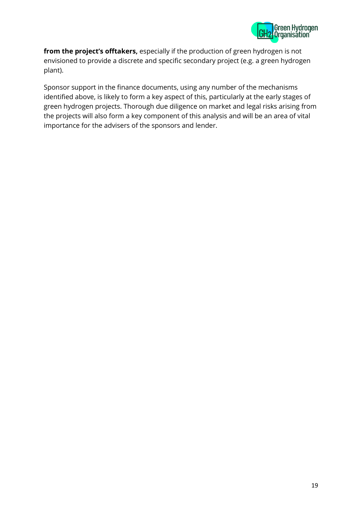

**from the project's offtakers,** especially if the production of green hydrogen is not envisioned to provide a discrete and specific secondary project (e.g. a green hydrogen plant).

Sponsor support in the finance documents, using any number of the mechanisms identified above, is likely to form a key aspect of this, particularly at the early stages of green hydrogen projects. Thorough due diligence on market and legal risks arising from the projects will also form a key component of this analysis and will be an area of vital importance for the advisers of the sponsors and lender.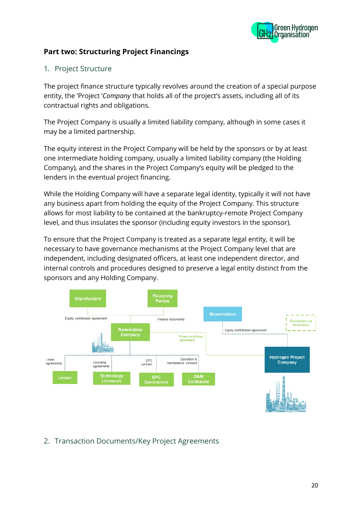

# **Part two: Structuring Project Financings**

# 1. Project Structure

The project finance structure typically revolves around the creation of a special purpose entity, the 'Project '*Company* that holds all of the project's assets, including all of its contractual rights and obligations.

The Project Company is usually a limited liability company, although in some cases it may be a limited partnership.

The equity interest in the Project Company will be held by the sponsors or by at least one intermediate holding company, usually a limited liability company (the Holding Company), and the shares in the Project Company's equity will be pledged to the lenders in the eventual project financing.

While the Holding Company will have a separate legal identity, typically it will not have any business apart from holding the equity of the Project Company. This structure allows for most liability to be contained at the bankruptcy-remote Project Company level, and thus insulates the sponsor (including equity investors in the sponsor).

To ensure that the Project Company is treated as a separate legal entity, it will be necessary to have governance mechanisms at the Project Company level that are independent, including designated officers, at least one independent director, and internal controls and procedures designed to preserve a legal entity distinct from the sponsors and any Holding Company.



# 2. Transaction Documents/Key Project Agreements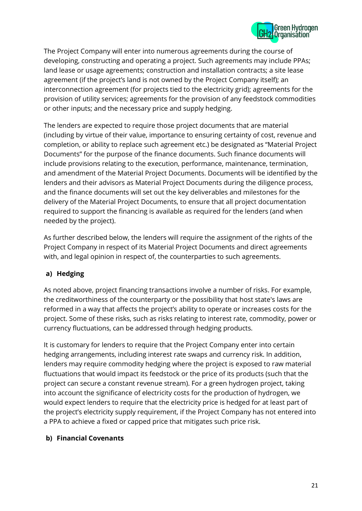

The Project Company will enter into numerous agreements during the course of developing, constructing and operating a project. Such agreements may include PPAs; land lease or usage agreements; construction and installation contracts; a site lease agreement (if the project's land is not owned by the Project Company itself); an interconnection agreement (for projects tied to the electricity grid); agreements for the provision of utility services; agreements for the provision of any feedstock commodities or other inputs; and the necessary price and supply hedging.

The lenders are expected to require those project documents that are material (including by virtue of their value, importance to ensuring certainty of cost, revenue and completion, or ability to replace such agreement etc.) be designated as "Material Project Documents" for the purpose of the finance documents. Such finance documents will include provisions relating to the execution, performance, maintenance, termination, and amendment of the Material Project Documents. Documents will be identified by the lenders and their advisors as Material Project Documents during the diligence process, and the finance documents will set out the key deliverables and milestones for the delivery of the Material Project Documents, to ensure that all project documentation required to support the financing is available as required for the lenders (and when needed by the project).

As further described below, the lenders will require the assignment of the rights of the Project Company in respect of its Material Project Documents and direct agreements with, and legal opinion in respect of, the counterparties to such agreements.

# **a) Hedging**

As noted above, project financing transactions involve a number of risks. For example, the creditworthiness of the counterparty or the possibility that host state's laws are reformed in a way that affects the project's ability to operate or increases costs for the project. Some of these risks, such as risks relating to interest rate, commodity, power or currency fluctuations, can be addressed through hedging products.

It is customary for lenders to require that the Project Company enter into certain hedging arrangements, including interest rate swaps and currency risk. In addition, lenders may require commodity hedging where the project is exposed to raw material fluctuations that would impact its feedstock or the price of its products (such that the project can secure a constant revenue stream). For a green hydrogen project, taking into account the significance of electricity costs for the production of hydrogen, we would expect lenders to require that the electricity price is hedged for at least part of the project's electricity supply requirement, if the Project Company has not entered into a PPA to achieve a fixed or capped price that mitigates such price risk.

#### **b) Financial Covenants**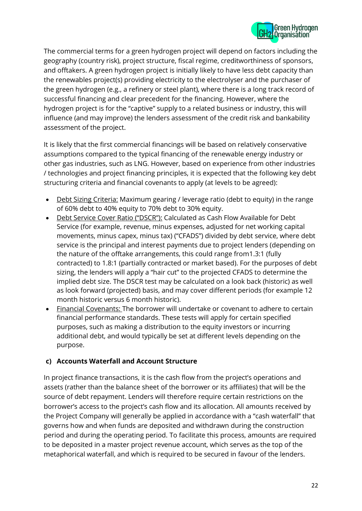

The commercial terms for a green hydrogen project will depend on factors including the geography (country risk), project structure, fiscal regime, creditworthiness of sponsors, and offtakers. A green hydrogen project is initially likely to have less debt capacity than the renewables project(s) providing electricity to the electrolyser and the purchaser of the green hydrogen (e.g., a refinery or steel plant), where there is a long track record of successful financing and clear precedent for the financing. However, where the hydrogen project is for the "captive" supply to a related business or industry, this will influence (and may improve) the lenders assessment of the credit risk and bankability assessment of the project.

It is likely that the first commercial financings will be based on relatively conservative assumptions compared to the typical financing of the renewable energy industry or other gas industries, such as LNG. However, based on experience from other industries / technologies and project financing principles, it is expected that the following key debt structuring criteria and financial covenants to apply (at levels to be agreed):

- Debt Sizing Criteria: Maximum gearing / leverage ratio (debt to equity) in the range of 60% debt to 40% equity to 70% debt to 30% equity.
- Debt Service Cover Ratio ("DSCR"): Calculated as Cash Flow Available for Debt Service (for example, revenue, minus expenses, adjusted for net working capital movements, minus capex, minus tax) ("CFADS") divided by debt service, where debt service is the principal and interest payments due to project lenders (depending on the nature of the offtake arrangements, this could range from1.3:1 (fully contracted) to 1.8:1 (partially contracted or market based). For the purposes of debt sizing, the lenders will apply a "hair cut" to the projected CFADS to determine the implied debt size. The DSCR test may be calculated on a look back (historic) as well as look forward (projected) basis, and may cover different periods (for example 12 month historic versus 6 month historic).
- Financial Covenants: The borrower will undertake or covenant to adhere to certain financial performance standards. These tests will apply for certain specified purposes, such as making a distribution to the equity investors or incurring additional debt, and would typically be set at different levels depending on the purpose.

# **c) Accounts Waterfall and Account Structure**

In project finance transactions, it is the cash flow from the project's operations and assets (rather than the balance sheet of the borrower or its affiliates) that will be the source of debt repayment. Lenders will therefore require certain restrictions on the borrower's access to the project's cash flow and its allocation. All amounts received by the Project Company will generally be applied in accordance with a "cash waterfall" that governs how and when funds are deposited and withdrawn during the construction period and during the operating period. To facilitate this process, amounts are required to be deposited in a master project revenue account, which serves as the top of the metaphorical waterfall, and which is required to be secured in favour of the lenders.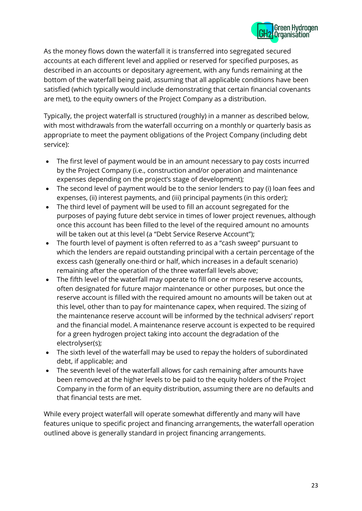

As the money flows down the waterfall it is transferred into segregated secured accounts at each different level and applied or reserved for specified purposes, as described in an accounts or depositary agreement, with any funds remaining at the bottom of the waterfall being paid, assuming that all applicable conditions have been satisfied (which typically would include demonstrating that certain financial covenants are met), to the equity owners of the Project Company as a distribution.

Typically, the project waterfall is structured (roughly) in a manner as described below, with most withdrawals from the waterfall occurring on a monthly or quarterly basis as appropriate to meet the payment obligations of the Project Company (including debt service):

- The first level of payment would be in an amount necessary to pay costs incurred by the Project Company (i.e., construction and/or operation and maintenance expenses depending on the project's stage of development);
- The second level of payment would be to the senior lenders to pay (i) loan fees and expenses, (ii) interest payments, and (iii) principal payments (in this order);
- The third level of payment will be used to fill an account segregated for the purposes of paying future debt service in times of lower project revenues, although once this account has been filled to the level of the required amount no amounts will be taken out at this level (a "Debt Service Reserve Account");
- The fourth level of payment is often referred to as a "cash sweep" pursuant to which the lenders are repaid outstanding principal with a certain percentage of the excess cash (generally one-third or half, which increases in a default scenario) remaining after the operation of the three waterfall levels above;
- The fifth level of the waterfall may operate to fill one or more reserve accounts, often designated for future major maintenance or other purposes, but once the reserve account is filled with the required amount no amounts will be taken out at this level, other than to pay for maintenance capex, when required. The sizing of the maintenance reserve account will be informed by the technical advisers' report and the financial model. A maintenance reserve account is expected to be required for a green hydrogen project taking into account the degradation of the electrolyser(s);
- The sixth level of the waterfall may be used to repay the holders of subordinated debt, if applicable; and
- The seventh level of the waterfall allows for cash remaining after amounts have been removed at the higher levels to be paid to the equity holders of the Project Company in the form of an equity distribution, assuming there are no defaults and that financial tests are met.

While every project waterfall will operate somewhat differently and many will have features unique to specific project and financing arrangements, the waterfall operation outlined above is generally standard in project financing arrangements.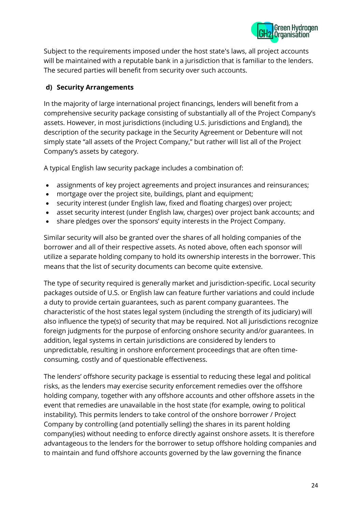

Subject to the requirements imposed under the host state's laws, all project accounts will be maintained with a reputable bank in a jurisdiction that is familiar to the lenders. The secured parties will benefit from security over such accounts.

# **d) Security Arrangements**

In the majority of large international project financings, lenders will benefit from a comprehensive security package consisting of substantially all of the Project Company's assets. However, in most jurisdictions (including U.S. jurisdictions and England), the description of the security package in the Security Agreement or Debenture will not simply state "all assets of the Project Company," but rather will list all of the Project Company's assets by category.

A typical English law security package includes a combination of:

- assignments of key project agreements and project insurances and reinsurances;
- mortgage over the project site, buildings, plant and equipment;
- security interest (under English law, fixed and floating charges) over project;
- asset security interest (under English law, charges) over project bank accounts; and
- share pledges over the sponsors' equity interests in the Project Company.

Similar security will also be granted over the shares of all holding companies of the borrower and all of their respective assets. As noted above, often each sponsor will utilize a separate holding company to hold its ownership interests in the borrower. This means that the list of security documents can become quite extensive.

The type of security required is generally market and jurisdiction-specific. Local security packages outside of U.S. or English law can feature further variations and could include a duty to provide certain guarantees, such as parent company guarantees. The characteristic of the host states legal system (including the strength of its judiciary) will also influence the type(s) of security that may be required. Not all jurisdictions recognize foreign judgments for the purpose of enforcing onshore security and/or guarantees. In addition, legal systems in certain jurisdictions are considered by lenders to unpredictable, resulting in onshore enforcement proceedings that are often timeconsuming, costly and of questionable effectiveness.

The lenders' offshore security package is essential to reducing these legal and political risks, as the lenders may exercise security enforcement remedies over the offshore holding company, together with any offshore accounts and other offshore assets in the event that remedies are unavailable in the host state (for example, owing to political instability). This permits lenders to take control of the onshore borrower / Project Company by controlling (and potentially selling) the shares in its parent holding company(ies) without needing to enforce directly against onshore assets. It is therefore advantageous to the lenders for the borrower to setup offshore holding companies and to maintain and fund offshore accounts governed by the law governing the finance